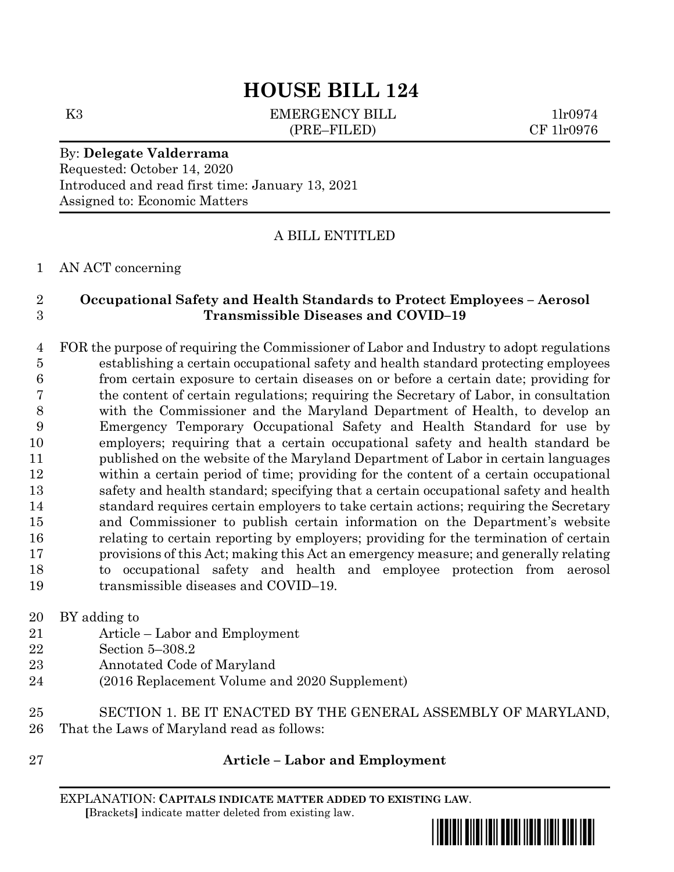# **HOUSE BILL 124**

K3 EMERGENCY BILL 1lr0974 (PRE–FILED) CF 1lr0976

By: **Delegate Valderrama** Requested: October 14, 2020 Introduced and read first time: January 13, 2021 Assigned to: Economic Matters

A BILL ENTITLED

#### AN ACT concerning

### **Occupational Safety and Health Standards to Protect Employees – Aerosol Transmissible Diseases and COVID–19**

 FOR the purpose of requiring the Commissioner of Labor and Industry to adopt regulations establishing a certain occupational safety and health standard protecting employees from certain exposure to certain diseases on or before a certain date; providing for the content of certain regulations; requiring the Secretary of Labor, in consultation with the Commissioner and the Maryland Department of Health, to develop an Emergency Temporary Occupational Safety and Health Standard for use by employers; requiring that a certain occupational safety and health standard be published on the website of the Maryland Department of Labor in certain languages within a certain period of time; providing for the content of a certain occupational safety and health standard; specifying that a certain occupational safety and health standard requires certain employers to take certain actions; requiring the Secretary and Commissioner to publish certain information on the Department's website relating to certain reporting by employers; providing for the termination of certain provisions of this Act; making this Act an emergency measure; and generally relating to occupational safety and health and employee protection from aerosol 19 transmissible diseases and COVID–19.

BY adding to

- Article Labor and Employment
- Section 5–308.2
- Annotated Code of Maryland
- (2016 Replacement Volume and 2020 Supplement)
- SECTION 1. BE IT ENACTED BY THE GENERAL ASSEMBLY OF MARYLAND, That the Laws of Maryland read as follows:
- 

#### **Article – Labor and Employment**

EXPLANATION: **CAPITALS INDICATE MATTER ADDED TO EXISTING LAW**.  **[**Brackets**]** indicate matter deleted from existing law.

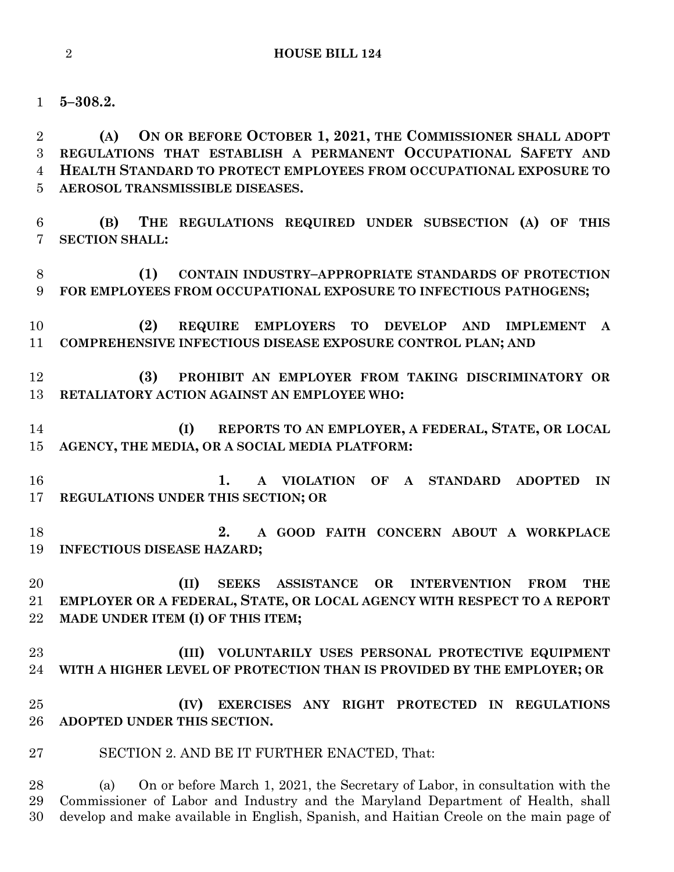**5–308.2.**

 **(A) ON OR BEFORE OCTOBER 1, 2021, THE COMMISSIONER SHALL ADOPT REGULATIONS THAT ESTABLISH A PERMANENT OCCUPATIONAL SAFETY AND HEALTH STANDARD TO PROTECT EMPLOYEES FROM OCCUPATIONAL EXPOSURE TO AEROSOL TRANSMISSIBLE DISEASES.**

 **(B) THE REGULATIONS REQUIRED UNDER SUBSECTION (A) OF THIS SECTION SHALL:**

 **(1) CONTAIN INDUSTRY–APPROPRIATE STANDARDS OF PROTECTION FOR EMPLOYEES FROM OCCUPATIONAL EXPOSURE TO INFECTIOUS PATHOGENS;**

 **(2) REQUIRE EMPLOYERS TO DEVELOP AND IMPLEMENT A COMPREHENSIVE INFECTIOUS DISEASE EXPOSURE CONTROL PLAN; AND** 

 **(3) PROHIBIT AN EMPLOYER FROM TAKING DISCRIMINATORY OR RETALIATORY ACTION AGAINST AN EMPLOYEE WHO:**

 **(I) REPORTS TO AN EMPLOYER, A FEDERAL, STATE, OR LOCAL AGENCY, THE MEDIA, OR A SOCIAL MEDIA PLATFORM:**

 **1. A VIOLATION OF A STANDARD ADOPTED IN REGULATIONS UNDER THIS SECTION; OR**

 **2. A GOOD FAITH CONCERN ABOUT A WORKPLACE INFECTIOUS DISEASE HAZARD;**

 **(II) SEEKS ASSISTANCE OR INTERVENTION FROM THE EMPLOYER OR A FEDERAL, STATE, OR LOCAL AGENCY WITH RESPECT TO A REPORT MADE UNDER ITEM (I) OF THIS ITEM;**

 **(III) VOLUNTARILY USES PERSONAL PROTECTIVE EQUIPMENT WITH A HIGHER LEVEL OF PROTECTION THAN IS PROVIDED BY THE EMPLOYER; OR**

 **(IV) EXERCISES ANY RIGHT PROTECTED IN REGULATIONS ADOPTED UNDER THIS SECTION.**

SECTION 2. AND BE IT FURTHER ENACTED, That:

 (a) On or before March 1, 2021, the Secretary of Labor, in consultation with the Commissioner of Labor and Industry and the Maryland Department of Health, shall develop and make available in English, Spanish, and Haitian Creole on the main page of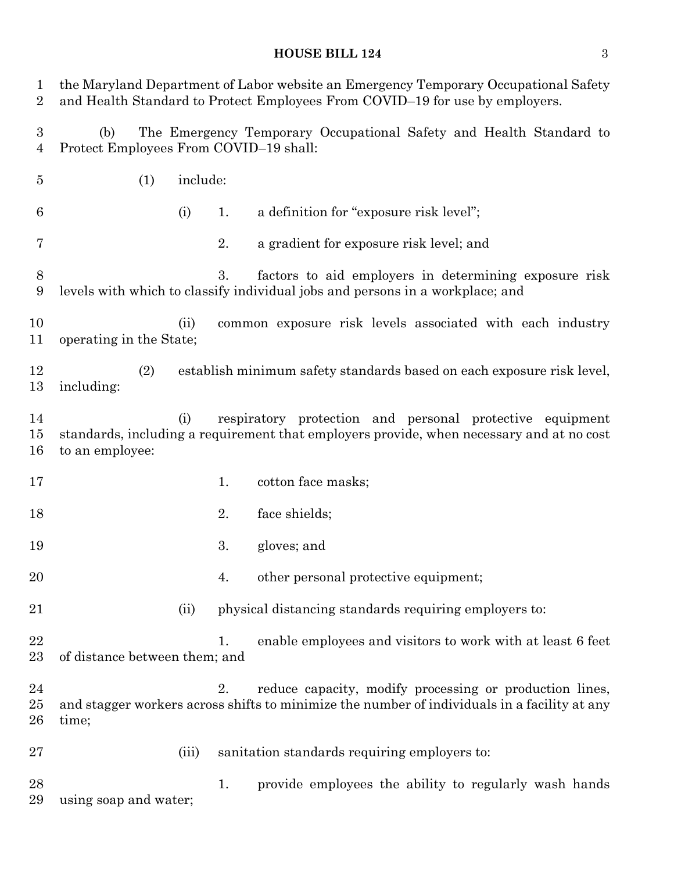## **HOUSE BILL 124** 3

| 1<br>$\overline{2}$   | the Maryland Department of Labor website an Emergency Temporary Occupational Safety<br>and Health Standard to Protect Employees From COVID-19 for use by employers. |          |    |                                                                                                                                                         |  |
|-----------------------|---------------------------------------------------------------------------------------------------------------------------------------------------------------------|----------|----|---------------------------------------------------------------------------------------------------------------------------------------------------------|--|
| $\boldsymbol{3}$<br>4 | (b)<br>Protect Employees From COVID-19 shall:                                                                                                                       |          |    | The Emergency Temporary Occupational Safety and Health Standard to                                                                                      |  |
| $\overline{5}$        | (1)                                                                                                                                                                 | include: |    |                                                                                                                                                         |  |
| 6                     |                                                                                                                                                                     | (i)      | 1. | a definition for "exposure risk level";                                                                                                                 |  |
| 7                     |                                                                                                                                                                     |          | 2. | a gradient for exposure risk level; and                                                                                                                 |  |
| $8\,$<br>9            |                                                                                                                                                                     |          | 3. | factors to aid employers in determining exposure risk<br>levels with which to classify individual jobs and persons in a workplace; and                  |  |
| 10<br>11              | operating in the State;                                                                                                                                             | (ii)     |    | common exposure risk levels associated with each industry                                                                                               |  |
| 12<br>13              | (2)<br>including:                                                                                                                                                   |          |    | establish minimum safety standards based on each exposure risk level,                                                                                   |  |
| 14<br>15<br>16        | to an employee:                                                                                                                                                     | (i)      |    | respiratory protection and personal protective equipment<br>standards, including a requirement that employers provide, when necessary and at no cost    |  |
| 17                    |                                                                                                                                                                     |          | 1. | cotton face masks;                                                                                                                                      |  |
| 18                    |                                                                                                                                                                     |          | 2. | face shields;                                                                                                                                           |  |
| 19                    |                                                                                                                                                                     |          | 3. | gloves; and                                                                                                                                             |  |
| 20                    |                                                                                                                                                                     |          | 4. | other personal protective equipment;                                                                                                                    |  |
| 21                    |                                                                                                                                                                     | (ii)     |    | physical distancing standards requiring employers to:                                                                                                   |  |
| 22<br>23              | of distance between them; and                                                                                                                                       |          | 1. | enable employees and visitors to work with at least 6 feet                                                                                              |  |
| 24<br>25<br>26        | time;                                                                                                                                                               |          | 2. | reduce capacity, modify processing or production lines,<br>and stagger workers across shifts to minimize the number of individuals in a facility at any |  |
| 27                    |                                                                                                                                                                     | (iii)    |    | sanitation standards requiring employers to:                                                                                                            |  |
| 28<br>29              | using soap and water;                                                                                                                                               |          | 1. | provide employees the ability to regularly wash hands                                                                                                   |  |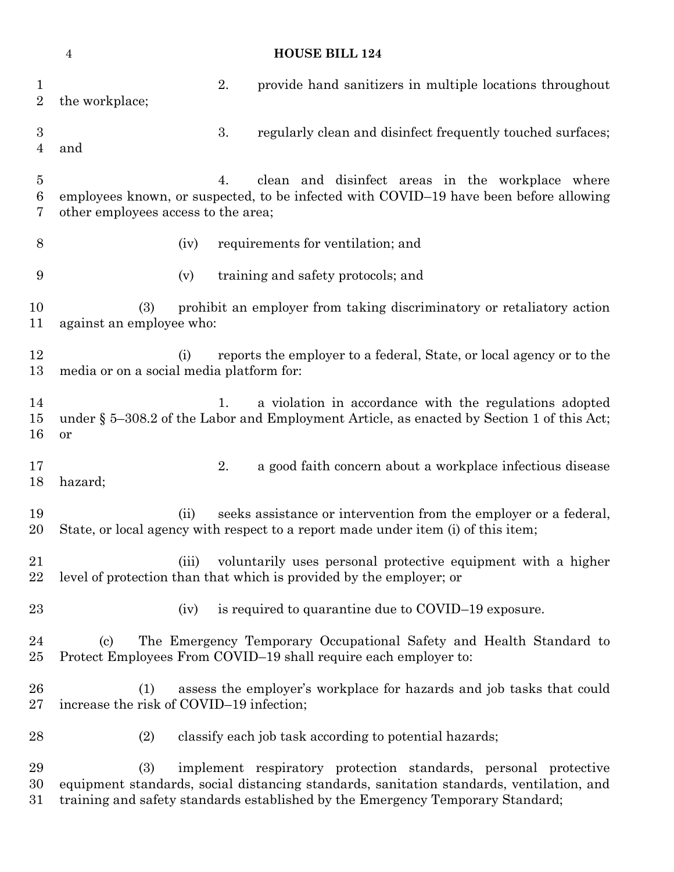|                                         | <b>HOUSE BILL 124</b><br>$\overline{4}$                                                                                                                                                |    |                                                                                                                                                                                                                                               |  |  |  |
|-----------------------------------------|----------------------------------------------------------------------------------------------------------------------------------------------------------------------------------------|----|-----------------------------------------------------------------------------------------------------------------------------------------------------------------------------------------------------------------------------------------------|--|--|--|
| $\mathbf 1$<br>$\overline{2}$           | the workplace;                                                                                                                                                                         | 2. | provide hand sanitizers in multiple locations throughout                                                                                                                                                                                      |  |  |  |
| $\boldsymbol{3}$<br>4                   | and                                                                                                                                                                                    | 3. | regularly clean and disinfect frequently touched surfaces;                                                                                                                                                                                    |  |  |  |
| $\overline{5}$<br>$\boldsymbol{6}$<br>7 | clean and disinfect areas in the workplace where<br>4.<br>employees known, or suspected, to be infected with COVID-19 have been before allowing<br>other employees access to the area; |    |                                                                                                                                                                                                                                               |  |  |  |
| 8                                       | (iv)                                                                                                                                                                                   |    | requirements for ventilation; and                                                                                                                                                                                                             |  |  |  |
| 9                                       | (v)                                                                                                                                                                                    |    | training and safety protocols; and                                                                                                                                                                                                            |  |  |  |
| 10<br>11                                | prohibit an employer from taking discriminatory or retaliatory action<br>(3)<br>against an employee who:                                                                               |    |                                                                                                                                                                                                                                               |  |  |  |
| 12<br>13                                | (i)<br>media or on a social media platform for:                                                                                                                                        |    | reports the employer to a federal, State, or local agency or to the                                                                                                                                                                           |  |  |  |
| 14<br>15<br>16                          | or                                                                                                                                                                                     | 1. | a violation in accordance with the regulations adopted<br>under § 5-308.2 of the Labor and Employment Article, as enacted by Section 1 of this Act;                                                                                           |  |  |  |
| 17<br>18                                | hazard;                                                                                                                                                                                | 2. | a good faith concern about a workplace infectious disease                                                                                                                                                                                     |  |  |  |
| 19<br>20                                | (ii)                                                                                                                                                                                   |    | seeks assistance or intervention from the employer or a federal,<br>State, or local agency with respect to a report made under item (i) of this item;                                                                                         |  |  |  |
| 21<br>22                                | (iii)                                                                                                                                                                                  |    | voluntarily uses personal protective equipment with a higher<br>level of protection than that which is provided by the employer; or                                                                                                           |  |  |  |
| 23                                      | (iv)                                                                                                                                                                                   |    | is required to quarantine due to COVID-19 exposure.                                                                                                                                                                                           |  |  |  |
| 24<br>25                                | $\left( \mathrm{c} \right)$                                                                                                                                                            |    | The Emergency Temporary Occupational Safety and Health Standard to<br>Protect Employees From COVID-19 shall require each employer to:                                                                                                         |  |  |  |
| 26<br>27                                | (1)<br>increase the risk of COVID-19 infection;                                                                                                                                        |    | assess the employer's workplace for hazards and job tasks that could                                                                                                                                                                          |  |  |  |
| 28                                      | (2)                                                                                                                                                                                    |    | classify each job task according to potential hazards;                                                                                                                                                                                        |  |  |  |
| 29<br>30<br>31                          | (3)                                                                                                                                                                                    |    | implement respiratory protection standards, personal protective<br>equipment standards, social distancing standards, sanitation standards, ventilation, and<br>training and safety standards established by the Emergency Temporary Standard; |  |  |  |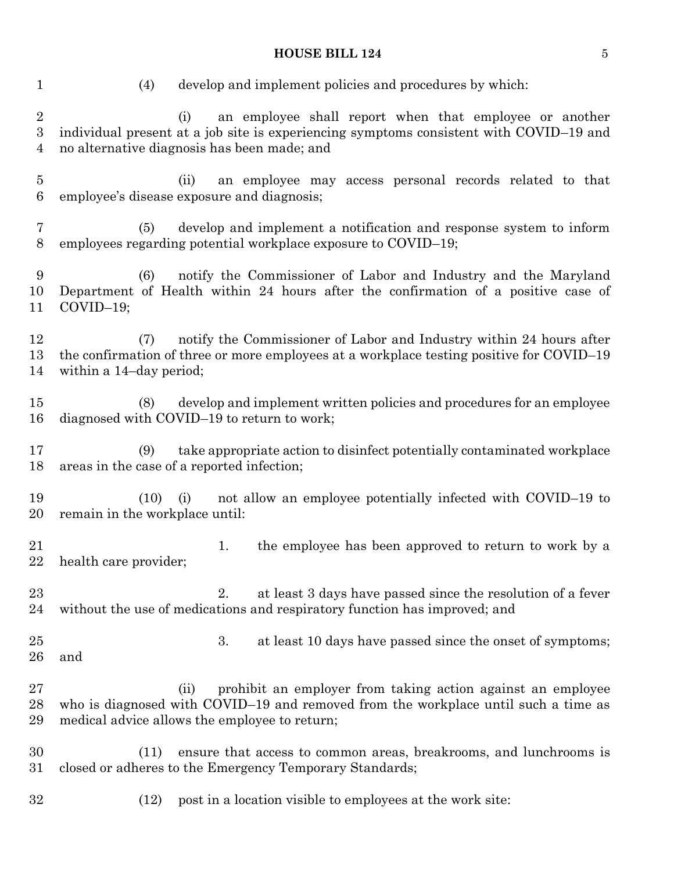## **HOUSE BILL 124** 5

| $\mathbf{1}$                        | develop and implement policies and procedures by which:<br>(4)                                                                                                                                             |
|-------------------------------------|------------------------------------------------------------------------------------------------------------------------------------------------------------------------------------------------------------|
| $\sqrt{2}$<br>$\boldsymbol{3}$<br>4 | an employee shall report when that employee or another<br>(i)<br>individual present at a job site is experiencing symptoms consistent with COVID-19 and<br>no alternative diagnosis has been made; and     |
| 5<br>6                              | (ii)<br>an employee may access personal records related to that<br>employee's disease exposure and diagnosis;                                                                                              |
| 7<br>8                              | develop and implement a notification and response system to inform<br>(5)<br>employees regarding potential workplace exposure to COVID-19;                                                                 |
| 9<br>10<br>11                       | notify the Commissioner of Labor and Industry and the Maryland<br>(6)<br>Department of Health within 24 hours after the confirmation of a positive case of<br>$COVID-19;$                                  |
| 12<br>13<br>14                      | notify the Commissioner of Labor and Industry within 24 hours after<br>(7)<br>the confirmation of three or more employees at a workplace testing positive for COVID-19<br>within a 14-day period;          |
| 15<br>16                            | develop and implement written policies and procedures for an employee<br>(8)<br>diagnosed with COVID-19 to return to work;                                                                                 |
| 17<br>18                            | take appropriate action to disinfect potentially contaminated workplace<br>(9)<br>areas in the case of a reported infection;                                                                               |
| 19<br>20                            | not allow an employee potentially infected with COVID-19 to<br>(10)<br>(i)<br>remain in the workplace until:                                                                                               |
| 21<br>$22\,$                        | the employee has been approved to return to work by a<br>1.<br>health care provider;                                                                                                                       |
| 23<br>24                            | at least 3 days have passed since the resolution of a fever<br>2.<br>without the use of medications and respiratory function has improved; and                                                             |
| $25\,$<br>26                        | 3.<br>at least 10 days have passed since the onset of symptoms;<br>and                                                                                                                                     |
| $27\,$<br>28<br>29                  | prohibit an employer from taking action against an employee<br>(ii)<br>who is diagnosed with COVID-19 and removed from the workplace until such a time as<br>medical advice allows the employee to return; |
| 30<br>$31\,$                        | ensure that access to common areas, breakrooms, and lunchrooms is<br>(11)<br>closed or adheres to the Emergency Temporary Standards;                                                                       |
| $32\,$                              | post in a location visible to employees at the work site:<br>(12)                                                                                                                                          |